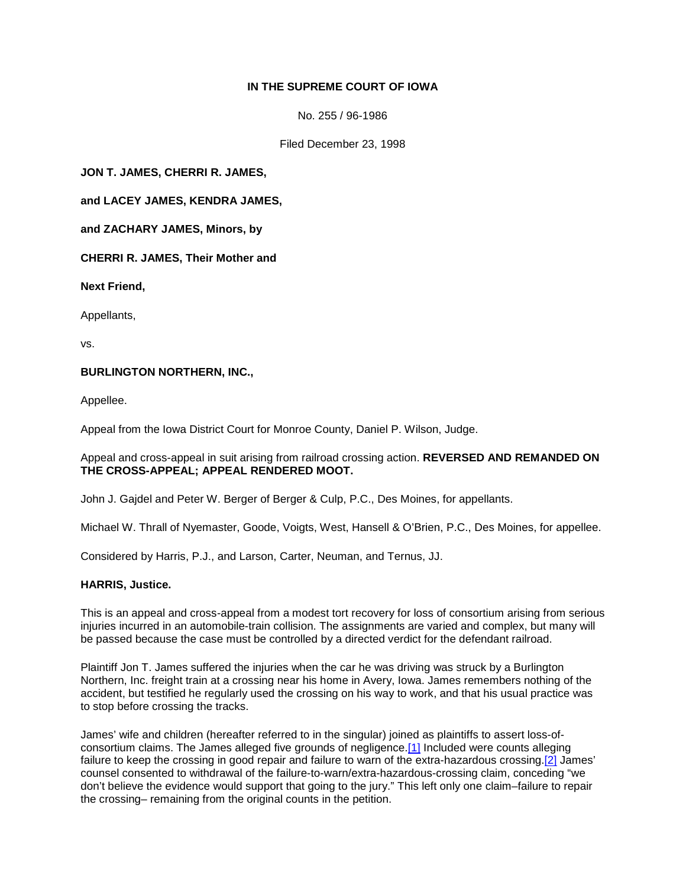# **IN THE SUPREME COURT OF IOWA**

No. 255 / 96-1986

Filed December 23, 1998

**JON T. JAMES, CHERRI R. JAMES,** 

**and LACEY JAMES, KENDRA JAMES,** 

**and ZACHARY JAMES, Minors, by** 

**CHERRI R. JAMES, Their Mother and** 

**Next Friend,**

Appellants,

vs.

## **BURLINGTON NORTHERN, INC.,**

Appellee.

Appeal from the Iowa District Court for Monroe County, Daniel P. Wilson, Judge.

### Appeal and cross-appeal in suit arising from railroad crossing action. **REVERSED AND REMANDED ON THE CROSS-APPEAL; APPEAL RENDERED MOOT.**

John J. Gajdel and Peter W. Berger of Berger & Culp, P.C., Des Moines, for appellants.

Michael W. Thrall of Nyemaster, Goode, Voigts, West, Hansell & O'Brien, P.C., Des Moines, for appellee.

Considered by Harris, P.J., and Larson, Carter, Neuman, and Ternus, JJ.

### **HARRIS, Justice.**

This is an appeal and cross-appeal from a modest tort recovery for loss of consortium arising from serious injuries incurred in an automobile-train collision. The assignments are varied and complex, but many will be passed because the case must be controlled by a directed verdict for the defendant railroad.

Plaintiff Jon T. James suffered the injuries when the car he was driving was struck by a Burlington Northern, Inc. freight train at a crossing near his home in Avery, Iowa. James remembers nothing of the accident, but testified he regularly used the crossing on his way to work, and that his usual practice was to stop before crossing the tracks.

James' wife and children (hereafter referred to in the singular) joined as plaintiffs to assert loss-ofconsortium claims. The James alleged five grounds of negligence[.\[1\]](http://www.iowacourts.gov/About_the_Courts/Supreme_Court/Supreme_Court_Opinions/Recent_Opinions/19981223/96-1986.asp?Printable=true#fn1) Included were counts alleging failure to keep the crossing in good repair and failure to warn of the extra-hazardous crossing[.\[2\]](http://www.iowacourts.gov/About_the_Courts/Supreme_Court/Supreme_Court_Opinions/Recent_Opinions/19981223/96-1986.asp?Printable=true#fn2) James' counsel consented to withdrawal of the failure-to-warn/extra-hazardous-crossing claim, conceding "we don't believe the evidence would support that going to the jury." This left only one claim–failure to repair the crossing– remaining from the original counts in the petition.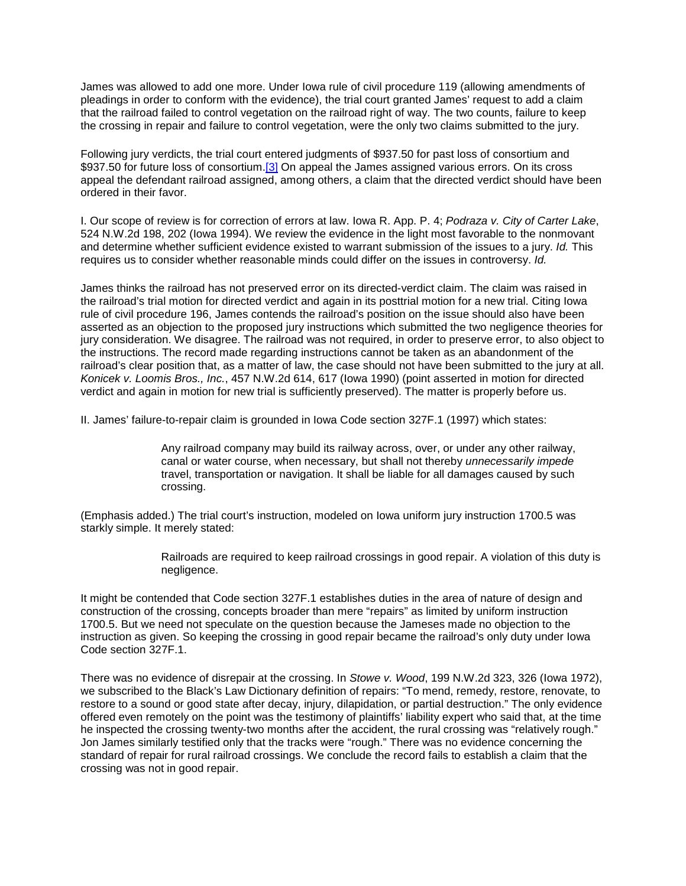James was allowed to add one more. Under Iowa rule of civil procedure 119 (allowing amendments of pleadings in order to conform with the evidence), the trial court granted James' request to add a claim that the railroad failed to control vegetation on the railroad right of way. The two counts, failure to keep the crossing in repair and failure to control vegetation, were the only two claims submitted to the jury.

Following jury verdicts, the trial court entered judgments of \$937.50 for past loss of consortium and \$937.50 for future loss of consortium[.\[3\]](http://www.iowacourts.gov/About_the_Courts/Supreme_Court/Supreme_Court_Opinions/Recent_Opinions/19981223/96-1986.asp?Printable=true#fn3) On appeal the James assigned various errors. On its cross appeal the defendant railroad assigned, among others, a claim that the directed verdict should have been ordered in their favor.

I. Our scope of review is for correction of errors at law. Iowa R. App. P. 4; *Podraza v. City of Carter Lake*, 524 N.W.2d 198, 202 (Iowa 1994). We review the evidence in the light most favorable to the nonmovant and determine whether sufficient evidence existed to warrant submission of the issues to a jury. *Id.* This requires us to consider whether reasonable minds could differ on the issues in controversy. *Id.*

James thinks the railroad has not preserved error on its directed-verdict claim. The claim was raised in the railroad's trial motion for directed verdict and again in its posttrial motion for a new trial. Citing Iowa rule of civil procedure 196, James contends the railroad's position on the issue should also have been asserted as an objection to the proposed jury instructions which submitted the two negligence theories for jury consideration. We disagree. The railroad was not required, in order to preserve error, to also object to the instructions. The record made regarding instructions cannot be taken as an abandonment of the railroad's clear position that, as a matter of law, the case should not have been submitted to the jury at all. *Konicek v. Loomis Bros., Inc.*, 457 N.W.2d 614, 617 (Iowa 1990) (point asserted in motion for directed verdict and again in motion for new trial is sufficiently preserved). The matter is properly before us.

II. James' failure-to-repair claim is grounded in Iowa Code section 327F.1 (1997) which states:

Any railroad company may build its railway across, over, or under any other railway, canal or water course, when necessary, but shall not thereby *unnecessarily impede* travel, transportation or navigation. It shall be liable for all damages caused by such crossing.

(Emphasis added.) The trial court's instruction, modeled on Iowa uniform jury instruction 1700.5 was starkly simple. It merely stated:

> Railroads are required to keep railroad crossings in good repair. A violation of this duty is negligence.

It might be contended that Code section 327F.1 establishes duties in the area of nature of design and construction of the crossing, concepts broader than mere "repairs" as limited by uniform instruction 1700.5. But we need not speculate on the question because the Jameses made no objection to the instruction as given. So keeping the crossing in good repair became the railroad's only duty under Iowa Code section 327F.1.

There was no evidence of disrepair at the crossing. In *Stowe v. Wood*, 199 N.W.2d 323, 326 (Iowa 1972), we subscribed to the Black's Law Dictionary definition of repairs: "To mend, remedy, restore, renovate, to restore to a sound or good state after decay, injury, dilapidation, or partial destruction." The only evidence offered even remotely on the point was the testimony of plaintiffs' liability expert who said that, at the time he inspected the crossing twenty-two months after the accident, the rural crossing was "relatively rough." Jon James similarly testified only that the tracks were "rough." There was no evidence concerning the standard of repair for rural railroad crossings. We conclude the record fails to establish a claim that the crossing was not in good repair.